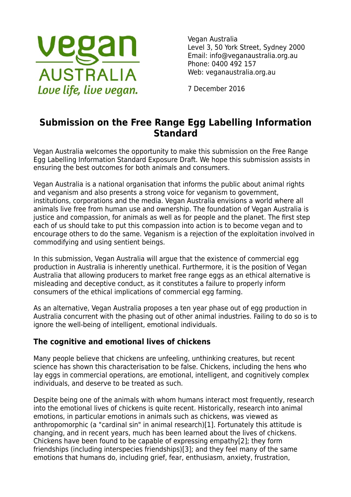

Vegan Australia Level 3, 50 York Street, Sydney 2000 Email: info@veganaustralia.org.au Phone: 0400 492 157 Web: veganaustralia.org.au

7 December 2016

# **Submission on the Free Range Egg Labelling Information Standard**

Vegan Australia welcomes the opportunity to make this submission on the Free Range Egg Labelling Information Standard Exposure Draft. We hope this submission assists in ensuring the best outcomes for both animals and consumers.

Vegan Australia is a national organisation that informs the public about animal rights and veganism and also presents a strong voice for veganism to government, institutions, corporations and the media. Vegan Australia envisions a world where all animals live free from human use and ownership. The foundation of Vegan Australia is justice and compassion, for animals as well as for people and the planet. The first step each of us should take to put this compassion into action is to become vegan and to encourage others to do the same. Veganism is a rejection of the exploitation involved in commodifying and using sentient beings.

In this submission, Vegan Australia will argue that the existence of commercial egg production in Australia is inherently unethical. Furthermore, it is the position of Vegan Australia that allowing producers to market free range eggs as an ethical alternative is misleading and deceptive conduct, as it constitutes a failure to properly inform consumers of the ethical implications of commercial egg farming.

As an alternative, Vegan Australia proposes a ten year phase out of egg production in Australia concurrent with the phasing out of other animal industries. Failing to do so is to ignore the well-being of intelligent, emotional individuals.

#### **The cognitive and emotional lives of chickens**

Many people believe that chickens are unfeeling, unthinking creatures, but recent science has shown this characterisation to be false. Chickens, including the hens who lay eggs in commercial operations, are emotional, intelligent, and cognitively complex individuals, and deserve to be treated as such.

Despite being one of the animals with whom humans interact most frequently, research into the emotional lives of chickens is quite recent. Historically, research into animal emotions, in particular emotions in animals such as chickens, was viewed as anthropomorphic (a "cardinal sin" in animal research)[1]. Fortunately this attitude is changing, and in recent years, much has been learned about the lives of chickens. Chickens have been found to be capable of expressing empathy[2]; they form friendships (including interspecies friendships)[3]; and they feel many of the same emotions that humans do, including grief, fear, enthusiasm, anxiety, frustration,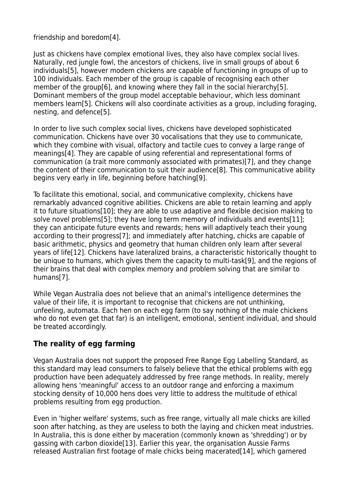friendship and boredom[4].

Just as chickens have complex emotional lives, they also have complex social lives. Naturally, red jungle fowl, the ancestors of chickens, live in small groups of about 6 individuals[5], however modern chickens are capable of functioning in groups of up to 100 individuals. Each member of the group is capable of recognising each other member of the group[6], and knowing where they fall in the social hierarchy[5]. Dominant members of the group model acceptable behaviour, which less dominant members learn[5]. Chickens will also coordinate activities as a group, including foraging, nesting, and defence[5].

In order to live such complex social lives, chickens have developed sophisticated communication. Chickens have over 30 vocalisations that they use to communicate, which they combine with visual, olfactory and tactile cues to convey a large range of meanings[4]. They are capable of using referential and representational forms of communication (a trait more commonly associated with primates)[7], and they change the content of their communication to suit their audience[8]. This communicative ability begins very early in life, beginning before hatching[9].

To facilitate this emotional, social, and communicative complexity, chickens have remarkably advanced cognitive abilities. Chickens are able to retain learning and apply it to future situations[10]; they are able to use adaptive and flexible decision making to solve novel problems[5]; they have long term memory of individuals and events[11]; they can anticipate future events and rewards; hens will adaptively teach their young according to their progress[7]; and immediately after hatching, chicks are capable of basic arithmetic, physics and geometry that human children only learn after several years of life[12]. Chickens have lateralized brains, a characteristic historically thought to be unique to humans, which gives them the capacity to multi-task[9], and the regions of their brains that deal with complex memory and problem solving that are similar to humans[7].

While Vegan Australia does not believe that an animal's intelligence determines the value of their life, it is important to recognise that chickens are not unthinking, unfeeling, automata. Each hen on each egg farm (to say nothing of the male chickens who do not even get that far) is an intelligent, emotional, sentient individual, and should be treated accordingly.

## **The reality of egg farming**

Vegan Australia does not support the proposed Free Range Egg Labelling Standard, as this standard may lead consumers to falsely believe that the ethical problems with egg production have been adequately addressed by free range methods. In reality, merely allowing hens 'meaningful' access to an outdoor range and enforcing a maximum stocking density of 10,000 hens does very little to address the multitude of ethical problems resulting from egg production.

Even in 'higher welfare' systems, such as free range, virtually all male chicks are killed soon after hatching, as they are useless to both the laying and chicken meat industries. In Australia, this is done either by maceration (commonly known as 'shredding') or by gassing with carbon dioxide[13]. Earlier this year, the organisation Aussie Farms released Australian first footage of male chicks being macerated[14], which garnered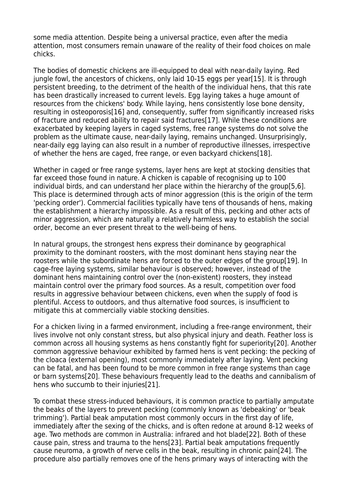some media attention. Despite being a universal practice, even after the media attention, most consumers remain unaware of the reality of their food choices on male chicks.

The bodies of domestic chickens are ill-equipped to deal with near-daily laying. Red jungle fowl, the ancestors of chickens, only laid 10-15 eggs per year[15]. It is through persistent breeding, to the detriment of the health of the individual hens, that this rate has been drastically increased to current levels. Egg laying takes a huge amount of resources from the chickens' body. While laying, hens consistently lose bone density, resulting in osteoporosis[16] and, consequently, suffer from significantly increased risks of fracture and reduced ability to repair said fractures[17]. While these conditions are exacerbated by keeping layers in caged systems, free range systems do not solve the problem as the ultimate cause, near-daily laying, remains unchanged. Unsurprisingly, near-daily egg laying can also result in a number of reproductive illnesses, irrespective of whether the hens are caged, free range, or even backyard chickens[18].

Whether in caged or free range systems, layer hens are kept at stocking densities that far exceed those found in nature. A chicken is capable of recognising up to 100 individual birds, and can understand her place within the hierarchy of the group[5,6]. This place is determined through acts of minor aggression (this is the origin of the term 'pecking order'). Commercial facilities typically have tens of thousands of hens, making the establishment a hierarchy impossible. As a result of this, pecking and other acts of minor aggression, which are naturally a relatively harmless way to establish the social order, become an ever present threat to the well-being of hens.

In natural groups, the strongest hens express their dominance by geographical proximity to the dominant roosters, with the most dominant hens staying near the roosters while the subordinate hens are forced to the outer edges of the group[19]. In cage-free laying systems, similar behaviour is observed; however, instead of the dominant hens maintaining control over the (non-existent) roosters, they instead maintain control over the primary food sources. As a result, competition over food results in aggressive behaviour between chickens, even when the supply of food is plentiful. Access to outdoors, and thus alternative food sources, is insufficient to mitigate this at commercially viable stocking densities.

For a chicken living in a farmed environment, including a free-range environment, their lives involve not only constant stress, but also physical injury and death. Feather loss is common across all housing systems as hens constantly fight for superiority[20]. Another common aggressive behaviour exhibited by farmed hens is vent pecking: the pecking of the cloaca (external opening), most commonly immediately after laying. Vent pecking can be fatal, and has been found to be more common in free range systems than cage or barn systems[20]. These behaviours frequently lead to the deaths and cannibalism of hens who succumb to their injuries[21].

To combat these stress-induced behaviours, it is common practice to partially amputate the beaks of the layers to prevent pecking (commonly known as 'debeaking' or 'beak trimming'). Partial beak amputation most commonly occurs in the first day of life, immediately after the sexing of the chicks, and is often redone at around 8-12 weeks of age. Two methods are common in Australia: infrared and hot blade[22]. Both of these cause pain, stress and trauma to the hens[23]. Partial beak amputations frequently cause neuroma, a growth of nerve cells in the beak, resulting in chronic pain[24]. The procedure also partially removes one of the hens primary ways of interacting with the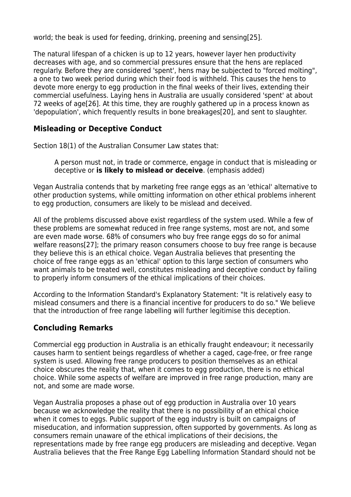world; the beak is used for feeding, drinking, preening and sensing[25].

The natural lifespan of a chicken is up to 12 years, however layer hen productivity decreases with age, and so commercial pressures ensure that the hens are replaced regularly. Before they are considered 'spent', hens may be subjected to "forced molting", a one to two week period during which their food is withheld. This causes the hens to devote more energy to egg production in the final weeks of their lives, extending their commercial usefulness. Laying hens in Australia are usually considered 'spent' at about 72 weeks of age[26]. At this time, they are roughly gathered up in a process known as 'depopulation', which frequently results in bone breakages[20], and sent to slaughter.

#### **Misleading or Deceptive Conduct**

Section 18(1) of the Australian Consumer Law states that:

A person must not, in trade or commerce, engage in conduct that is misleading or deceptive or **is likely to mislead or deceive**. (emphasis added)

Vegan Australia contends that by marketing free range eggs as an 'ethical' alternative to other production systems, while omitting information on other ethical problems inherent to egg production, consumers are likely to be mislead and deceived.

All of the problems discussed above exist regardless of the system used. While a few of these problems are somewhat reduced in free range systems, most are not, and some are even made worse. 68% of consumers who buy free range eggs do so for animal welfare reasons[27]; the primary reason consumers choose to buy free range is because they believe this is an ethical choice. Vegan Australia believes that presenting the choice of free range eggs as an 'ethical' option to this large section of consumers who want animals to be treated well, constitutes misleading and deceptive conduct by failing to properly inform consumers of the ethical implications of their choices.

According to the Information Standard's Explanatory Statement: "It is relatively easy to mislead consumers and there is a financial incentive for producers to do so." We believe that the introduction of free range labelling will further legitimise this deception.

## **Concluding Remarks**

Commercial egg production in Australia is an ethically fraught endeavour; it necessarily causes harm to sentient beings regardless of whether a caged, cage-free, or free range system is used. Allowing free range producers to position themselves as an ethical choice obscures the reality that, when it comes to egg production, there is no ethical choice. While some aspects of welfare are improved in free range production, many are not, and some are made worse.

Vegan Australia proposes a phase out of egg production in Australia over 10 years because we acknowledge the reality that there is no possibility of an ethical choice when it comes to eggs. Public support of the egg industry is built on campaigns of miseducation, and information suppression, often supported by governments. As long as consumers remain unaware of the ethical implications of their decisions, the representations made by free range egg producers are misleading and deceptive. Vegan Australia believes that the Free Range Egg Labelling Information Standard should not be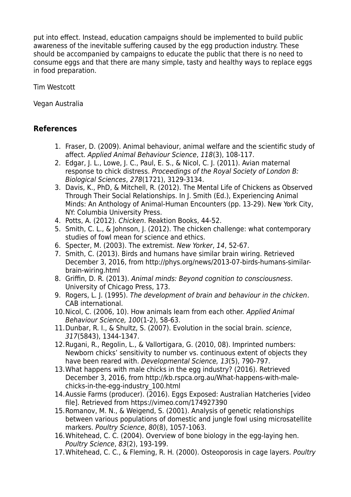put into effect. Instead, education campaigns should be implemented to build public awareness of the inevitable suffering caused by the egg production industry. These should be accompanied by campaigns to educate the public that there is no need to consume eggs and that there are many simple, tasty and healthy ways to replace eggs in food preparation.

Tim Westcott

Vegan Australia

### **References**

- 1. Fraser, D. (2009). Animal behaviour, animal welfare and the scientific study of affect. Applied Animal Behaviour Science, 118(3), 108-117.
- 2. Edgar, J. L., Lowe, J. C., Paul, E. S., & Nicol, C. J. (2011). Avian maternal response to chick distress. Proceedings of the Royal Society of London B: Biological Sciences, 278(1721), 3129-3134.
- 3. Davis, K., PhD, & Mitchell, R. (2012). The Mental Life of Chickens as Observed Through Their Social Relationships. In J. Smith (Ed.), Experiencing Animal Minds: An Anthology of Animal-Human Encounters (pp. 13-29). New York City, NY: Columbia University Press.
- 4. Potts, A. (2012). Chicken. Reaktion Books, 44-52.
- 5. Smith, C. L., & Johnson, J. (2012). The chicken challenge: what contemporary studies of fowl mean for science and ethics.
- 6. Specter, M. (2003). The extremist. New Yorker, 14, 52-67.
- 7. Smith, C. (2013). Birds and humans have similar brain wiring. Retrieved December 3, 2016, from http://phys.org/news/2013-07-birds-humans-similarbrain-wiring.html
- 8. Griffin, D. R. (2013). Animal minds: Beyond cognition to consciousness. University of Chicago Press, 173.
- 9. Rogers, L. J. (1995). The development of brain and behaviour in the chicken. CAB international.
- 10.Nicol, C. (2006, 10). How animals learn from each other. Applied Animal Behaviour Science, 100(1-2), 58-63.
- 11.Dunbar, R. I., & Shultz, S. (2007). Evolution in the social brain. science, 317(5843), 1344-1347.
- 12.Rugani, R., Regolin, L., & Vallortigara, G. (2010, 08). Imprinted numbers: Newborn chicks' sensitivity to number vs. continuous extent of objects they have been reared with. Developmental Science, 13(5), 790-797.
- 13.What happens with male chicks in the egg industry? (2016). Retrieved December 3, 2016, from http://kb.rspca.org.au/What-happens-with-malechicks-in-the-egg-industry\_100.html
- 14.Aussie Farms (producer). (2016). Eggs Exposed: Australian Hatcheries [video file]. Retrieved from https://vimeo.com/174927390
- 15.Romanov, M. N., & Weigend, S. (2001). Analysis of genetic relationships between various populations of domestic and jungle fowl using microsatellite markers. Poultry Science, 80(8), 1057-1063.
- 16.Whitehead, C. C. (2004). Overview of bone biology in the egg-laying hen. Poultry Science, 83(2), 193-199.
- 17.Whitehead, C. C., & Fleming, R. H. (2000). Osteoporosis in cage layers. Poultry